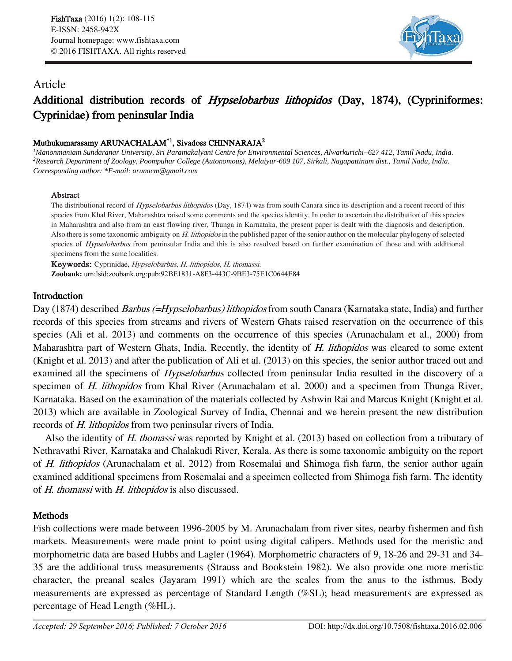

# Article

# Additional distribution records of *Hypselobarbus lithopidos* (Day, 1874), (Cypriniformes: Cyprinidae) from peninsular India

## Muthukumarasamy ARUNACHALAM<sup>\*1</sup>, Sivadoss CHINNARAJA<sup>2</sup>

*<sup>1</sup>Manonmaniam Sundaranar University, Sri Paramakalyani Centre for Environmental Sciences, Alwarkurichi–627 412, Tamil Nadu, India. <sup>2</sup>Research Department of Zoology, Poompuhar College (Autonomous), Melaiyur-609 107, Sirkali, Nagapattinam dist., Tamil Nadu, India. Corresponding author: \*E-mail: arunacm@gmail.com*

#### Abstract

The distributional record of Hypselobarbus lithopidos (Day, 1874) was from south Canara since its description and a recent record of this species from Khal River, Maharashtra raised some comments and the species identity. In order to ascertain the distribution of this species in Maharashtra and also from an east flowing river, Thunga in Karnataka, the present paper is dealt with the diagnosis and description. Also there is some taxonomic ambiguity on H. lithopidos in the published paper of the senior author on the molecular phylogeny of selected species of Hypselobarbus from peninsular India and this is also resolved based on further examination of those and with additional specimens from the same localities.

Keywords: Cyprinidae, Hypselobarbus, H. lithopidos, H. thomassi. **Zoobank:** urn:lsid:zoobank.org:pub:92BE1831-A8F3-443C-9BE3-75E1C0644E84

## Introduction

Day (1874) described *Barbus (=Hypselobarbus) lithopidos* from south Canara (Karnataka state, India) and further records of this species from streams and rivers of Western Ghats raised reservation on the occurrence of this species (Ali et al. 2013) and comments on the occurrence of this species (Arunachalam et al., 2000) from Maharashtra part of Western Ghats, India. Recently, the identity of H. lithopidos was cleared to some extent (Knight et al. 2013) and after the publication of Ali et al. (2013) on this species, the senior author traced out and examined all the specimens of *Hypselobarbus* collected from peninsular India resulted in the discovery of a specimen of *H. lithopidos* from Khal River (Arunachalam et al. 2000) and a specimen from Thunga River, Karnataka. Based on the examination of the materials collected by Ashwin Rai and Marcus Knight (Knight et al. 2013) which are available in Zoological Survey of India, Chennai and we herein present the new distribution records of H. lithopidos from two peninsular rivers of India.

Also the identity of H. thomassi was reported by Knight et al. (2013) based on collection from a tributary of Nethravathi River, Karnataka and Chalakudi River, Kerala. As there is some taxonomic ambiguity on the report of H. lithopidos (Arunachalam et al. 2012) from Rosemalai and Shimoga fish farm, the senior author again examined additional specimens from Rosemalai and a specimen collected from Shimoga fish farm. The identity of H. thomassi with H. lithopidos is also discussed.

# **Methods**

Fish collections were made between 1996-2005 by M. Arunachalam from river sites, nearby fishermen and fish markets. Measurements were made point to point using digital calipers. Methods used for the meristic and morphometric data are based Hubbs and Lagler (1964). Morphometric characters of 9, 18-26 and 29-31 and 34- 35 are the additional truss measurements (Strauss and Bookstein 1982). We also provide one more meristic character, the preanal scales (Jayaram 1991) which are the scales from the anus to the isthmus. Body measurements are expressed as percentage of Standard Length (%SL); head measurements are expressed as percentage of Head Length (%HL).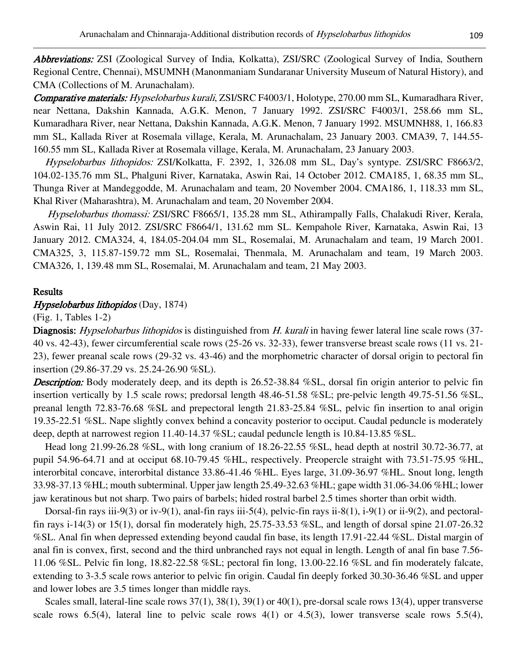Abbreviations: ZSI (Zoological Survey of India, Kolkatta), ZSI/SRC (Zoological Survey of India, Southern Regional Centre, Chennai), MSUMNH (Manonmaniam Sundaranar University Museum of Natural History), and CMA (Collections of M. Arunachalam).

Comparative materials: Hypselobarbus kurali, ZSI/SRC F4003/1, Holotype, 270.00 mm SL, Kumaradhara River, near Nettana, Dakshin Kannada, A.G.K. Menon, 7 January 1992. ZSI/SRC F4003/1, 258.66 mm SL, Kumaradhara River, near Nettana, Dakshin Kannada, A.G.K. Menon, 7 January 1992. MSUMNH88, 1, 166.83 mm SL, Kallada River at Rosemala village, Kerala, M. Arunachalam, 23 January 2003. CMA39, 7, 144.55- 160.55 mm SL, Kallada River at Rosemala village, Kerala, M. Arunachalam, 23 January 2003.

Hypselobarbus lithopidos: ZSI/Kolkatta, F. 2392, 1, 326.08 mm SL, Day's syntype. ZSI/SRC F8663/2, 104.02-135.76 mm SL, Phalguni River, Karnataka, Aswin Rai, 14 October 2012. CMA185, 1, 68.35 mm SL, Thunga River at Mandeggodde, M. Arunachalam and team, 20 November 2004. CMA186, 1, 118.33 mm SL, Khal River (Maharashtra), M. Arunachalam and team, 20 November 2004.

Hypselobarbus thomassi: ZSI/SRC F8665/1, 135.28 mm SL, Athirampally Falls, Chalakudi River, Kerala, Aswin Rai, 11 July 2012. ZSI/SRC F8664/1, 131.62 mm SL. Kempahole River, Karnataka, Aswin Rai, 13 January 2012. CMA324, 4, 184.05-204.04 mm SL, Rosemalai, M. Arunachalam and team, 19 March 2001. CMA325, 3, 115.87-159.72 mm SL, Rosemalai, Thenmala, M. Arunachalam and team, 19 March 2003. CMA326, 1, 139.48 mm SL, Rosemalai, M. Arunachalam and team, 21 May 2003.

#### Results

#### Hypselobarbus lithopidos (Day, 1874)

(Fig. 1, Tables 1-2)

Diagnosis: Hypselobarbus lithopidos is distinguished from H. kurali in having fewer lateral line scale rows (37-40 vs. 42-43), fewer circumferential scale rows (25-26 vs. 32-33), fewer transverse breast scale rows (11 vs. 21- 23), fewer preanal scale rows (29-32 vs. 43-46) and the morphometric character of dorsal origin to pectoral fin insertion (29.86-37.29 vs. 25.24-26.90 %SL).

**Description:** Body moderately deep, and its depth is 26.52-38.84 %SL, dorsal fin origin anterior to pelvic fin insertion vertically by 1.5 scale rows; predorsal length 48.46-51.58 %SL; pre-pelvic length 49.75-51.56 %SL, preanal length 72.83-76.68 %SL and prepectoral length 21.83-25.84 %SL, pelvic fin insertion to anal origin 19.35-22.51 %SL. Nape slightly convex behind a concavity posterior to occiput. Caudal peduncle is moderately deep, depth at narrowest region 11.40-14.37 %SL; caudal peduncle length is 10.84-13.85 %SL.

Head long 21.99-26.28 %SL, with long cranium of 18.26-22.55 %SL, head depth at nostril 30.72-36.77, at pupil 54.96-64.71 and at occiput 68.10-79.45 %HL, respectively. Preopercle straight with 73.51-75.95 %HL, interorbital concave, interorbital distance 33.86-41.46 %HL. Eyes large, 31.09-36.97 %HL. Snout long, length 33.98-37.13 %HL; mouth subterminal. Upper jaw length 25.49-32.63 %HL; gape width 31.06-34.06 %HL; lower jaw keratinous but not sharp. Two pairs of barbels; hided rostral barbel 2.5 times shorter than orbit width.

Dorsal-fin rays iii-9(3) or iv-9(1), anal-fin rays iii-5(4), pelvic-fin rays ii-8(1), i-9(1) or ii-9(2), and pectoralfin rays i-14(3) or 15(1), dorsal fin moderately high, 25.75-33.53 %SL, and length of dorsal spine 21.07-26.32 %SL. Anal fin when depressed extending beyond caudal fin base, its length 17.91-22.44 %SL. Distal margin of anal fin is convex, first, second and the third unbranched rays not equal in length. Length of anal fin base 7.56- 11.06 %SL. Pelvic fin long, 18.82-22.58 %SL; pectoral fin long, 13.00-22.16 %SL and fin moderately falcate, extending to 3-3.5 scale rows anterior to pelvic fin origin. Caudal fin deeply forked 30.30-36.46 %SL and upper and lower lobes are 3.5 times longer than middle rays.

Scales small, lateral-line scale rows  $37(1)$ ,  $38(1)$ ,  $39(1)$  or  $40(1)$ , pre-dorsal scale rows 13(4), upper transverse scale rows  $6.5(4)$ , lateral line to pelvic scale rows  $4(1)$  or  $4.5(3)$ , lower transverse scale rows  $5.5(4)$ ,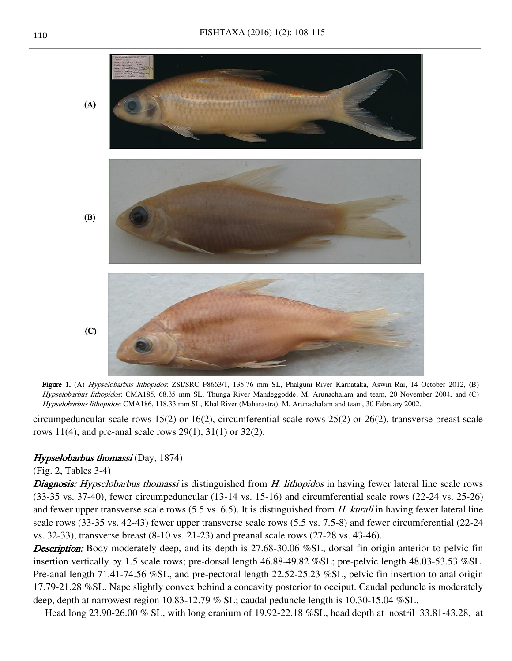

Figure 1. (A) Hypselobarbus lithopidos: ZSI/SRC F8663/1, 135.76 mm SL, Phalguni River Karnataka, Aswin Rai, 14 October 2012, (B) Hypselobarbus lithopidos: CMA185, 68.35 mm SL, Thunga River Mandeggodde, M. Arunachalam and team, 20 November 2004, and (C) Hypselobarbus lithopidos: CMA186, 118.33 mm SL, Khal River (Maharastra), M. Arunachalam and team, 30 February 2002.

circumpeduncular scale rows 15(2) or 16(2), circumferential scale rows 25(2) or 26(2), transverse breast scale rows 11(4), and pre-anal scale rows 29(1), 31(1) or 32(2).

## Hypselobarbus thomassi (Day, 1874)

(Fig. 2, Tables 3-4)

Diagnosis: Hypselobarbus thomassi is distinguished from H. lithopidos in having fewer lateral line scale rows (33-35 vs. 37-40), fewer circumpeduncular (13-14 vs. 15-16) and circumferential scale rows (22-24 vs. 25-26) and fewer upper transverse scale rows  $(5.5 \text{ vs. } 6.5)$ . It is distinguished from H. kurali in having fewer lateral line scale rows (33-35 vs. 42-43) fewer upper transverse scale rows (5.5 vs. 7.5-8) and fewer circumferential (22-24 vs. 32-33), transverse breast (8-10 vs. 21-23) and preanal scale rows (27-28 vs. 43-46).

**Description:** Body moderately deep, and its depth is 27.68-30.06 %SL, dorsal fin origin anterior to pelvic fin insertion vertically by 1.5 scale rows; pre-dorsal length 46.88-49.82 %SL; pre-pelvic length 48.03-53.53 %SL. Pre-anal length 71.41-74.56 %SL, and pre-pectoral length 22.52-25.23 %SL, pelvic fin insertion to anal origin 17.79-21.28 %SL. Nape slightly convex behind a concavity posterior to occiput. Caudal peduncle is moderately deep, depth at narrowest region 10.83-12.79 % SL; caudal peduncle length is 10.30-15.04 %SL.

Head long 23.90-26.00 % SL, with long cranium of 19.92-22.18 %SL, head depth at nostril 33.81-43.28, at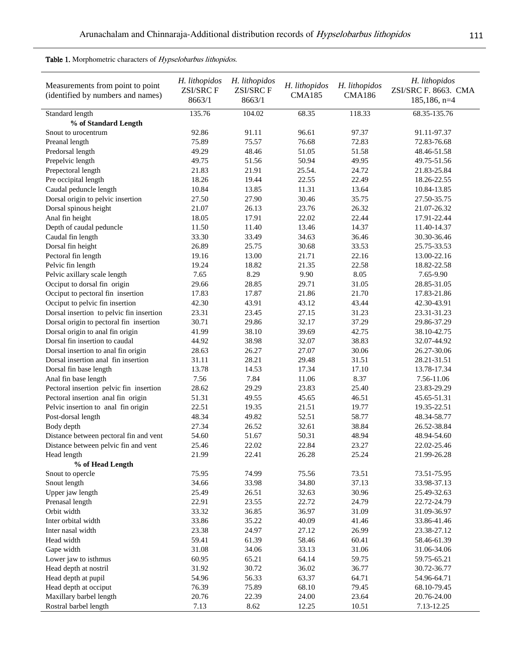Table 1. Morphometric characters of Hypselobarbus lithopidos.

Ĭ.

l,

| Measurements from point to point<br>(identified by numbers and names) | H. lithopidos<br><b>ZSI/SRCF</b><br>8663/1 | H. lithopidos<br><b>ZSI/SRCF</b><br>8663/1 | H. lithopidos<br><b>CMA185</b> | H. lithopidos<br><b>CMA186</b> | H. lithopidos<br>ZSI/SRC F. 8663. CMA<br>$185, 186, n=4$ |
|-----------------------------------------------------------------------|--------------------------------------------|--------------------------------------------|--------------------------------|--------------------------------|----------------------------------------------------------|
| Standard length                                                       | 135.76                                     | 104.02                                     | 68.35                          | 118.33                         | 68.35-135.76                                             |
| % of Standard Length                                                  |                                            |                                            |                                |                                |                                                          |
| Snout to urocentrum                                                   | 92.86                                      | 91.11                                      | 96.61                          | 97.37                          | 91.11-97.37                                              |
| Preanal length                                                        | 75.89                                      | 75.57                                      | 76.68                          | 72.83                          | 72.83-76.68                                              |
| Predorsal length                                                      | 49.29                                      | 48.46                                      | 51.05                          | 51.58                          | 48.46-51.58                                              |
| Prepelvic length                                                      | 49.75                                      | 51.56                                      | 50.94                          | 49.95                          | 49.75-51.56                                              |
| Prepectoral length                                                    | 21.83                                      | 21.91                                      | 25.54.                         | 24.72                          | 21.83-25.84                                              |
| Pre occipital length                                                  | 18.26                                      | 19.44                                      | 22.55                          | 22.49                          | 18.26-22.55                                              |
| Caudal peduncle length                                                | 10.84                                      | 13.85                                      | 11.31                          | 13.64                          | 10.84-13.85                                              |
| Dorsal origin to pelvic insertion                                     | 27.50                                      | 27.90                                      | 30.46                          | 35.75                          | 27.50-35.75                                              |
| Dorsal spinous height                                                 | 21.07                                      | 26.13                                      | 23.76                          | 26.32                          | 21.07-26.32                                              |
| Anal fin height                                                       | 18.05                                      | 17.91                                      | 22.02                          | 22.44                          | 17.91-22.44                                              |
| Depth of caudal peduncle                                              | 11.50                                      | 11.40                                      | 13.46                          | 14.37                          | 11.40-14.37                                              |
| Caudal fin length                                                     | 33.30                                      | 33.49                                      | 34.63                          | 36.46                          | 30.30-36.46                                              |
| Dorsal fin height                                                     | 26.89                                      | 25.75                                      | 30.68                          | 33.53                          | 25.75-33.53                                              |
| Pectoral fin length                                                   | 19.16                                      | 13.00                                      | 21.71                          | 22.16                          | 13.00-22.16                                              |
| Pelvic fin length                                                     | 19.24                                      | 18.82                                      | 21.35                          | 22.58                          | 18.82-22.58                                              |
| Pelvic axillary scale length                                          | 7.65                                       | 8.29                                       | 9.90                           | 8.05                           | 7.65-9.90                                                |
| Occiput to dorsal fin origin                                          | 29.66                                      | 28.85                                      | 29.71                          | 31.05                          | 28.85-31.05                                              |
| Occiput to pectoral fin insertion                                     | 17.83                                      | 17.87                                      | 21.86                          | 21.70                          | 17.83-21.86                                              |
| Occiput to pelvic fin insertion                                       | 42.30                                      | 43.91                                      | 43.12                          | 43.44                          | 42.30-43.91                                              |
| Dorsal insertion to pelvic fin insertion                              | 23.31                                      | 23.45                                      | 27.15                          | 31.23                          | 23.31-31.23                                              |
| Dorsal origin to pectoral fin insertion                               | 30.71                                      | 29.86                                      | 32.17                          | 37.29                          | 29.86-37.29                                              |
| Dorsal origin to anal fin origin                                      | 41.99                                      | 38.10                                      | 39.69                          | 42.75                          | 38.10-42.75                                              |
| Dorsal fin insertion to caudal                                        | 44.92                                      | 38.98                                      | 32.07                          | 38.83                          | 32.07-44.92                                              |
| Dorsal insertion to anal fin origin                                   | 28.63                                      | 26.27                                      | 27.07                          | 30.06                          | 26.27-30.06                                              |
| Dorsal insertion anal fin insertion                                   | 31.11                                      | 28.21                                      | 29.48                          | 31.51                          | 28.21-31.51                                              |
| Dorsal fin base length                                                | 13.78                                      | 14.53                                      | 17.34                          | 17.10                          | 13.78-17.34                                              |
| Anal fin base length                                                  | 7.56                                       | 7.84                                       | 11.06                          | 8.37                           | 7.56-11.06                                               |
| Pectoral insertion pelvic fin insertion                               | 28.62                                      | 29.29                                      | 23.83                          | 25.40                          | 23.83-29.29                                              |
| Pectoral insertion anal fin origin                                    | 51.31                                      | 49.55                                      | 45.65                          | 46.51                          | 45.65-51.31                                              |
| Pelvic insertion to anal fin origin                                   | 22.51                                      | 19.35                                      | 21.51                          | 19.77                          | 19.35-22.51                                              |
| Post-dorsal length                                                    | 48.34                                      | 49.82                                      | 52.51                          | 58.77                          | 48.34-58.77                                              |
| Body depth                                                            | 27.34                                      | 26.52                                      | 32.61                          | 38.84                          | 26.52-38.84                                              |
| Distance between pectoral fin and vent                                | 54.60                                      | 51.67                                      | 50.31                          | 48.94                          | 48.94-54.60                                              |
| Distance between pelvic fin and vent                                  | 25.46                                      | 22.02                                      | 22.84                          | 23.27                          | 22.02-25.46                                              |
| Head length                                                           | 21.99                                      | 22.41                                      | 26.28                          | 25.24                          | 21.99-26.28                                              |
| % of Head Length                                                      |                                            |                                            |                                |                                |                                                          |
| Snout to opercle                                                      | 75.95                                      | 74.99                                      | 75.56                          | 73.51                          | 73.51-75.95                                              |
| Snout length                                                          | 34.66                                      | 33.98                                      | 34.80                          | 37.13                          | 33.98-37.13                                              |
| Upper jaw length                                                      | 25.49                                      | 26.51                                      | 32.63                          | 30.96                          | 25.49-32.63                                              |
| Prenasal length                                                       | 22.91                                      | 23.55                                      | 22.72                          | 24.79                          | 22.72-24.79                                              |
| Orbit width                                                           | 33.32                                      | 36.85                                      | 36.97                          | 31.09                          | 31.09-36.97                                              |
| Inter orbital width                                                   | 33.86                                      | 35.22                                      | 40.09                          | 41.46                          | 33.86-41.46                                              |
| Inter nasal width                                                     | 23.38                                      | 24.97                                      | 27.12                          | 26.99                          | 23.38-27.12                                              |
| Head width                                                            | 59.41                                      | 61.39                                      | 58.46                          | 60.41                          | 58.46-61.39                                              |
| Gape width                                                            | 31.08                                      | 34.06                                      | 33.13                          | 31.06                          | 31.06-34.06                                              |
| Lower jaw to isthmus                                                  | 60.95                                      | 65.21                                      | 64.14                          | 59.75                          | 59.75-65.21                                              |
| Head depth at nostril                                                 | 31.92                                      | 30.72                                      | 36.02                          | 36.77                          | 30.72-36.77                                              |
| Head depth at pupil                                                   | 54.96                                      | 56.33                                      | 63.37                          | 64.71                          | 54.96-64.71                                              |
| Head depth at occiput                                                 | 76.39                                      | 75.89                                      | 68.10                          | 79.45                          | 68.10-79.45                                              |
| Maxillary barbel length                                               | 20.76                                      | 22.39                                      | 24.00                          | 23.64                          | 20.76-24.00                                              |
| Rostral barbel length                                                 | 7.13                                       | 8.62                                       | 12.25                          | 10.51                          | 7.13-12.25                                               |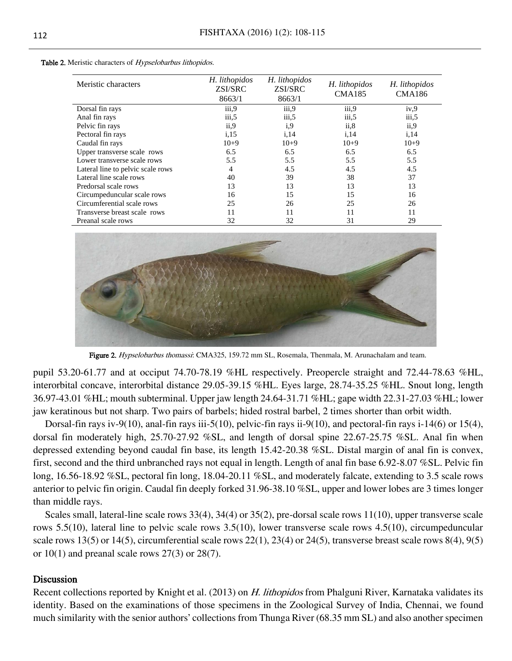| Meristic characters               | H. lithopidos<br>ZSI/SRC<br>8663/1 | H. lithopidos<br>ZSI/SRC<br>8663/1 | H. lithopidos<br><b>CMA185</b> | H. lithopidos<br><b>CMA186</b> |
|-----------------------------------|------------------------------------|------------------------------------|--------------------------------|--------------------------------|
| Dorsal fin rays                   | iii,9                              | iii,9                              | iii,9                          | iv.9                           |
| Anal fin rays                     | iii, 5                             | iii, 5                             | iii, 5                         | iii, 5                         |
| Pelvic fin rays                   | ii, 9                              | i,9                                | ii, 8                          | ii, 9                          |
| Pectoral fin rays                 | i, 15                              | i, 14                              | i, 14                          | i, 14                          |
| Caudal fin rays                   | $10+9$                             | $10+9$                             | $10+9$                         | $10+9$                         |
| Upper transverse scale rows       | 6.5                                | 6.5                                | 6.5                            | 6.5                            |
| Lower transverse scale rows       | 5.5                                | 5.5                                | 5.5                            | 5.5                            |
| Lateral line to pelvic scale rows | 4                                  | 4.5                                | 4.5                            | 4.5                            |
| Lateral line scale rows           | 40                                 | 39                                 | 38                             | 37                             |
| Predorsal scale rows              | 13                                 | 13                                 | 13                             | 13                             |
| Circumpeduncular scale rows       | 16                                 | 15                                 | 15                             | 16                             |
| Circumferential scale rows        | 25                                 | 26                                 | 25                             | 26                             |
| Transverse breast scale rows      | 11                                 | 11                                 | 11                             | 11                             |
| Preanal scale rows                | 32                                 | 32                                 | 31                             | 29                             |

Table 2. Meristic characters of Hypselobarbus lithopidos.



Figure 2. Hypselobarbus thomassi: CMA325, 159.72 mm SL, Rosemala, Thenmala, M. Arunachalam and team.

pupil 53.20-61.77 and at occiput 74.70-78.19 %HL respectively. Preopercle straight and 72.44-78.63 %HL, interorbital concave, interorbital distance 29.05-39.15 %HL. Eyes large, 28.74-35.25 %HL. Snout long, length 36.97-43.01 %HL; mouth subterminal. Upper jaw length 24.64-31.71 %HL; gape width 22.31-27.03 %HL; lower jaw keratinous but not sharp. Two pairs of barbels; hided rostral barbel, 2 times shorter than orbit width.

Dorsal-fin rays iv-9(10), anal-fin rays iii-5(10), pelvic-fin rays ii-9(10), and pectoral-fin rays i-14(6) or 15(4), dorsal fin moderately high, 25.70-27.92 %SL, and length of dorsal spine 22.67-25.75 %SL. Anal fin when depressed extending beyond caudal fin base, its length 15.42-20.38 %SL. Distal margin of anal fin is convex, first, second and the third unbranched rays not equal in length. Length of anal fin base 6.92-8.07 %SL. Pelvic fin long, 16.56-18.92 %SL, pectoral fin long, 18.04-20.11 %SL, and moderately falcate, extending to 3.5 scale rows anterior to pelvic fin origin. Caudal fin deeply forked 31.96-38.10 %SL, upper and lower lobes are 3 times longer than middle rays.

Scales small, lateral-line scale rows 33(4), 34(4) or 35(2), pre-dorsal scale rows 11(10), upper transverse scale rows 5.5(10), lateral line to pelvic scale rows 3.5(10), lower transverse scale rows 4.5(10), circumpeduncular scale rows 13(5) or 14(5), circumferential scale rows 22(1), 23(4) or 24(5), transverse breast scale rows 8(4), 9(5) or  $10(1)$  and preanal scale rows  $27(3)$  or  $28(7)$ .

## **Discussion**

Recent collections reported by Knight et al. (2013) on *H. lithopidos* from Phalguni River, Karnataka validates its identity. Based on the examinations of those specimens in the Zoological Survey of India, Chennai, we found much similarity with the senior authors' collections from Thunga River (68.35 mm SL) and also another specimen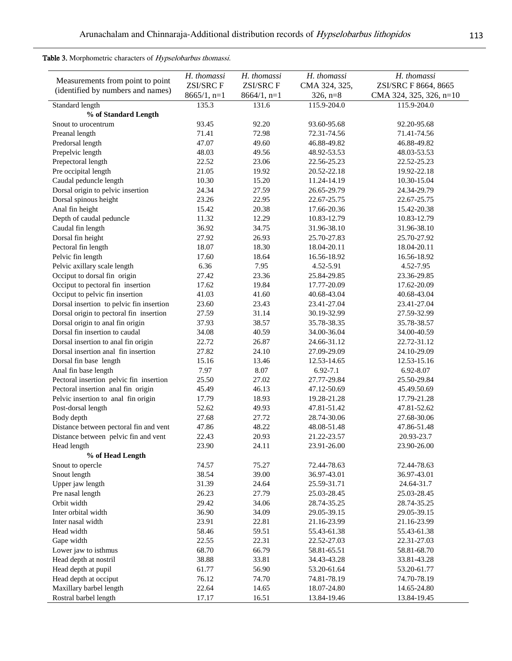Table 3. Morphometric characters of Hypselobarbus thomassi.

| Measurements from point to point         | H. thomassi<br><b>ZSI/SRCF</b> | H. thomassi<br><b>ZSI/SRCF</b> | H. thomassi<br>CMA 324, 325, | H. thomassi<br>ZSI/SRC F 8664, 8665 |
|------------------------------------------|--------------------------------|--------------------------------|------------------------------|-------------------------------------|
| (identified by numbers and names)        | $8665/1, n=1$                  | $8664/1, n=1$                  | $326, n=8$                   | CMA 324, 325, 326, n=10             |
| Standard length<br>% of Standard Length  | 135.3                          | 131.6                          | 115.9-204.0                  | 115.9-204.0                         |
| Snout to urocentrum                      | 93.45                          | 92.20                          | 93.60-95.68                  | 92.20-95.68                         |
| Preanal length                           | 71.41                          | 72.98                          | 72.31-74.56                  | 71.41-74.56                         |
| Predorsal length                         | 47.07                          | 49.60                          | 46.88-49.82                  | 46.88-49.82                         |
| Prepelvic length                         | 48.03                          | 49.56                          | 48.92-53.53                  | 48.03-53.53                         |
| Prepectoral length                       | 22.52                          | 23.06                          | 22.56-25.23                  | 22.52-25.23                         |
| Pre occipital length                     | 21.05                          | 19.92                          | 20.52-22.18                  | 19.92-22.18                         |
| Caudal peduncle length                   | 10.30                          | 15.20                          | 11.24-14.19                  | 10.30-15.04                         |
| Dorsal origin to pelvic insertion        | 24.34                          | 27.59                          | 26.65-29.79                  | 24.34-29.79                         |
| Dorsal spinous height                    | 23.26                          | 22.95                          | 22.67-25.75                  | 22.67-25.75                         |
| Anal fin height                          | 15.42                          | 20.38                          | 17.66-20.36                  | 15.42-20.38                         |
| Depth of caudal peduncle                 | 11.32                          | 12.29                          | 10.83-12.79                  | 10.83-12.79                         |
| Caudal fin length                        | 36.92                          | 34.75                          | 31.96-38.10                  | 31.96-38.10                         |
| Dorsal fin height                        | 27.92                          | 26.93                          | 25.70-27.83                  | 25.70-27.92                         |
| Pectoral fin length                      | 18.07                          | 18.30                          | 18.04-20.11                  | 18.04-20.11                         |
| Pelvic fin length                        | 17.60                          | 18.64                          | 16.56-18.92                  | 16.56-18.92                         |
| Pelvic axillary scale length             | 6.36                           | 7.95                           | 4.52-5.91                    | 4.52-7.95                           |
| Occiput to dorsal fin origin             | 27.42                          | 23.36                          | 25.84-29.85                  | 23.36-29.85                         |
| Occiput to pectoral fin insertion        | 17.62                          | 19.84                          | 17.77-20.09                  | 17.62-20.09                         |
| Occiput to pelvic fin insertion          | 41.03                          | 41.60                          | 40.68-43.04                  | 40.68-43.04                         |
| Dorsal insertion to pelvic fin insertion | 23.60                          | 23.43                          | 23.41-27.04                  | 23.41-27.04                         |
| Dorsal origin to pectoral fin insertion  | 27.59                          | 31.14                          | 30.19-32.99                  | 27.59-32.99                         |
| Dorsal origin to anal fin origin         | 37.93                          | 38.57                          | 35.78-38.35                  | 35.78-38.57                         |
| Dorsal fin insertion to caudal           | 34.08                          | 40.59                          | 34.00-36.04                  | 34.00-40.59                         |
| Dorsal insertion to anal fin origin      | 22.72                          | 26.87                          | 24.66-31.12                  | 22.72-31.12                         |
| Dorsal insertion anal fin insertion      | 27.82                          | 24.10                          | 27.09-29.09                  | 24.10-29.09                         |
| Dorsal fin base length                   | 15.16                          | 13.46                          | 12.53-14.65                  | 12.53-15.16                         |
| Anal fin base length                     | 7.97                           | 8.07                           | $6.92 - 7.1$                 | 6.92-8.07                           |
| Pectoral insertion pelvic fin insertion  | 25.50                          | 27.02                          | 27.77-29.84                  | 25.50-29.84                         |
| Pectoral insertion anal fin origin       | 45.49                          | 46.13                          | 47.12-50.69                  | 45.49.50.69                         |
| Pelvic insertion to anal fin origin      | 17.79                          | 18.93                          | 19.28-21.28                  | 17.79-21.28                         |
| Post-dorsal length                       | 52.62                          | 49.93                          | 47.81-51.42                  | 47.81-52.62                         |
| Body depth                               | 27.68                          | 27.72                          | 28.74-30.06                  | 27.68-30.06                         |
| Distance between pectoral fin and vent   | 47.86                          | 48.22                          | 48.08-51.48                  | 47.86-51.48                         |
| Distance between pelvic fin and vent     | 22.43                          | 20.93                          | 21.22-23.57                  | 20.93-23.7                          |
| Head length                              | 23.90                          | 24.11                          | 23.91-26.00                  | 23.90-26.00                         |
| % of Head Length                         |                                |                                |                              |                                     |
| Snout to opercle                         | 74.57                          | 75.27                          | 72.44-78.63                  | 72.44-78.63                         |
| Snout length                             | 38.54                          | 39.00                          | 36.97-43.01                  | 36.97-43.01                         |
| Upper jaw length                         | 31.39                          | 24.64                          | 25.59-31.71                  | 24.64-31.7                          |
| Pre nasal length                         | 26.23                          | 27.79                          | 25.03-28.45                  | 25.03-28.45                         |
| Orbit width                              | 29.42                          | 34.06                          | 28.74-35.25                  | 28.74-35.25                         |
| Inter orbital width                      | 36.90                          | 34.09                          | 29.05-39.15                  | 29.05-39.15                         |
| Inter nasal width                        | 23.91                          | 22.81                          | 21.16-23.99                  | 21.16-23.99                         |
| Head width                               | 58.46                          | 59.51                          | 55.43-61.38                  | 55.43-61.38                         |
| Gape width                               | 22.55                          | 22.31                          | 22.52-27.03                  | 22.31-27.03                         |
| Lower jaw to isthmus                     | 68.70                          | 66.79                          | 58.81-65.51                  | 58.81-68.70                         |
| Head depth at nostril                    | 38.88                          | 33.81                          | 34.43-43.28                  | 33.81-43.28                         |
| Head depth at pupil                      | 61.77                          | 56.90                          | 53.20-61.64                  | 53.20-61.77                         |
| Head depth at occiput                    | 76.12                          | 74.70                          | 74.81-78.19                  | 74.70-78.19                         |
| Maxillary barbel length                  | 22.64                          | 14.65                          | 18.07-24.80                  | 14.65-24.80                         |
| Rostral barbel length                    | 17.17                          | 16.51                          | 13.84-19.46                  | 13.84-19.45                         |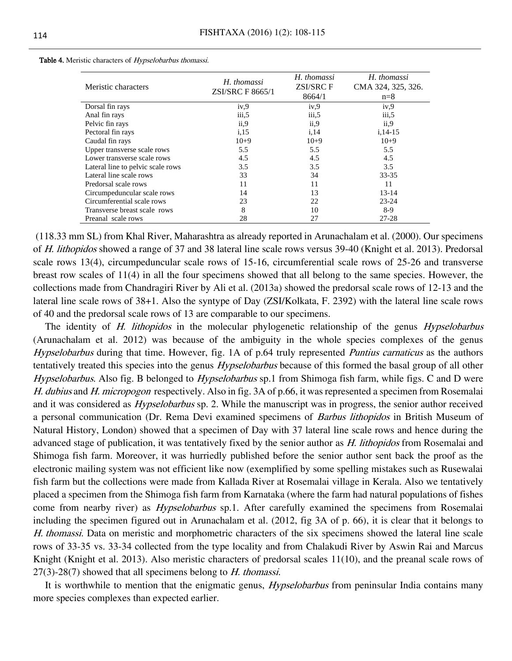| Meristic characters               | H. thomassi<br><b>ZSI/SRC F 8665/1</b> | H. thomassi<br><b>ZSI/SRCF</b><br>8664/1 | H. thomassi<br>CMA 324, 325, 326.<br>$n=8$ |
|-----------------------------------|----------------------------------------|------------------------------------------|--------------------------------------------|
| Dorsal fin rays                   | iv,9                                   | iv,9                                     | iv,9                                       |
| Anal fin rays                     | iii, 5                                 | iii, 5                                   | iii, 5                                     |
| Pelvic fin rays                   | ii, 9                                  | ii, 9                                    | ii, 9                                      |
| Pectoral fin rays                 | i, 15                                  | i, 14                                    | $i, 14-15$                                 |
| Caudal fin rays                   | $10+9$                                 | $10+9$                                   | $10+9$                                     |
| Upper transverse scale rows       | 5.5                                    | 5.5                                      | 5.5                                        |
| Lower transverse scale rows       | 4.5                                    | 4.5                                      | 4.5                                        |
| Lateral line to pelvic scale rows | 3.5                                    | 3.5                                      | 3.5                                        |
| Lateral line scale rows           | 33                                     | 34                                       | $33 - 35$                                  |
| Predorsal scale rows              | 11                                     | 11                                       | 11                                         |
| Circumpeduncular scale rows       | 14                                     | 13                                       | $13 - 14$                                  |
| Circumferential scale rows        | 23                                     | 22                                       | $23 - 24$                                  |
| Transverse breast scale rows      | 8                                      | 10                                       | $8-9$                                      |
| Preanal scale rows                | 28                                     | 27                                       | $27 - 28$                                  |

Table 4. Meristic characters of Hypselobarbus thomassi.

(118.33 mm SL) from Khal River, Maharashtra as already reported in Arunachalam et al. (2000). Our specimens of H. lithopidos showed a range of 37 and 38 lateral line scale rows versus 39-40 (Knight et al. 2013). Predorsal scale rows 13(4), circumpeduncular scale rows of 15-16, circumferential scale rows of 25-26 and transverse breast row scales of 11(4) in all the four specimens showed that all belong to the same species. However, the collections made from Chandragiri River by Ali et al. (2013a) showed the predorsal scale rows of 12-13 and the lateral line scale rows of 38+1. Also the syntype of Day (ZSI/Kolkata, F. 2392) with the lateral line scale rows of 40 and the predorsal scale rows of 13 are comparable to our specimens.

The identity of H. lithopidos in the molecular phylogenetic relationship of the genus Hypselobarbus (Arunachalam et al. 2012) was because of the ambiguity in the whole species complexes of the genus Hypselobarbus during that time. However, fig. 1A of p.64 truly represented *Puntius carnaticus* as the authors tentatively treated this species into the genus *Hypselobarbus* because of this formed the basal group of all other Hypselobarbus. Also fig. B belonged to *Hypselobarbus* sp.1 from Shimoga fish farm, while figs. C and D were H. dubius and H. micropogon respectively. Also in fig. 3A of p.66, it was represented a specimen from Rosemalai and it was considered as *Hypselobarbus* sp. 2. While the manuscript was in progress, the senior author received a personal communication (Dr. Rema Devi examined specimens of *Barbus lithopidos* in British Museum of Natural History, London) showed that a specimen of Day with 37 lateral line scale rows and hence during the advanced stage of publication, it was tentatively fixed by the senior author as H. lithopidos from Rosemalai and Shimoga fish farm. Moreover, it was hurriedly published before the senior author sent back the proof as the electronic mailing system was not efficient like now (exemplified by some spelling mistakes such as Rusewalai fish farm but the collections were made from Kallada River at Rosemalai village in Kerala. Also we tentatively placed a specimen from the Shimoga fish farm from Karnataka (where the farm had natural populations of fishes come from nearby river) as *Hypselobarbus* sp.1. After carefully examined the specimens from Rosemalai including the specimen figured out in Arunachalam et al. (2012, fig 3A of p. 66), it is clear that it belongs to H. thomassi. Data on meristic and morphometric characters of the six specimens showed the lateral line scale rows of 33-35 vs. 33-34 collected from the type locality and from Chalakudi River by Aswin Rai and Marcus Knight (Knight et al. 2013). Also meristic characters of predorsal scales 11(10), and the preanal scale rows of  $27(3)$ -28(7) showed that all specimens belong to *H. thomassi.* 

It is worthwhile to mention that the enigmatic genus, *Hypselobarbus* from peninsular India contains many more species complexes than expected earlier.